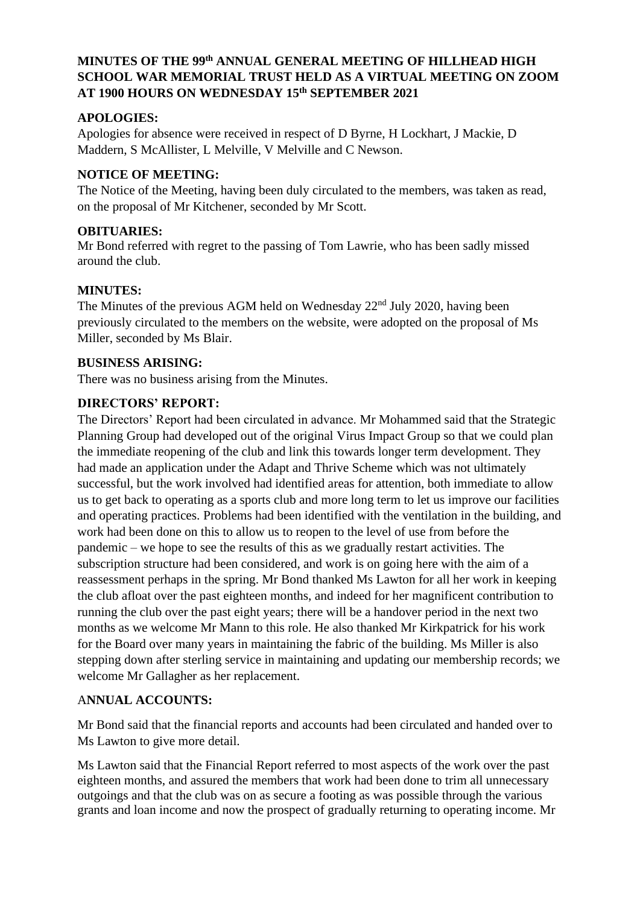# **MINUTES OF THE 99 th ANNUAL GENERAL MEETING OF HILLHEAD HIGH SCHOOL WAR MEMORIAL TRUST HELD AS A VIRTUAL MEETING ON ZOOM AT 1900 HOURS ON WEDNESDAY 15th SEPTEMBER 2021**

## **APOLOGIES:**

Apologies for absence were received in respect of D Byrne, H Lockhart, J Mackie, D Maddern, S McAllister, L Melville, V Melville and C Newson.

### **NOTICE OF MEETING:**

The Notice of the Meeting, having been duly circulated to the members, was taken as read, on the proposal of Mr Kitchener, seconded by Mr Scott.

### **OBITUARIES:**

Mr Bond referred with regret to the passing of Tom Lawrie, who has been sadly missed around the club.

#### **MINUTES:**

The Minutes of the previous AGM held on Wednesday 22<sup>nd</sup> July 2020, having been previously circulated to the members on the website, were adopted on the proposal of Ms Miller, seconded by Ms Blair.

## **BUSINESS ARISING:**

There was no business arising from the Minutes.

# **DIRECTORS' REPORT:**

The Directors' Report had been circulated in advance. Mr Mohammed said that the Strategic Planning Group had developed out of the original Virus Impact Group so that we could plan the immediate reopening of the club and link this towards longer term development. They had made an application under the Adapt and Thrive Scheme which was not ultimately successful, but the work involved had identified areas for attention, both immediate to allow us to get back to operating as a sports club and more long term to let us improve our facilities and operating practices. Problems had been identified with the ventilation in the building, and work had been done on this to allow us to reopen to the level of use from before the pandemic – we hope to see the results of this as we gradually restart activities. The subscription structure had been considered, and work is on going here with the aim of a reassessment perhaps in the spring. Mr Bond thanked Ms Lawton for all her work in keeping the club afloat over the past eighteen months, and indeed for her magnificent contribution to running the club over the past eight years; there will be a handover period in the next two months as we welcome Mr Mann to this role. He also thanked Mr Kirkpatrick for his work for the Board over many years in maintaining the fabric of the building. Ms Miller is also stepping down after sterling service in maintaining and updating our membership records; we welcome Mr Gallagher as her replacement.

# A**NNUAL ACCOUNTS:**

Mr Bond said that the financial reports and accounts had been circulated and handed over to Ms Lawton to give more detail.

Ms Lawton said that the Financial Report referred to most aspects of the work over the past eighteen months, and assured the members that work had been done to trim all unnecessary outgoings and that the club was on as secure a footing as was possible through the various grants and loan income and now the prospect of gradually returning to operating income. Mr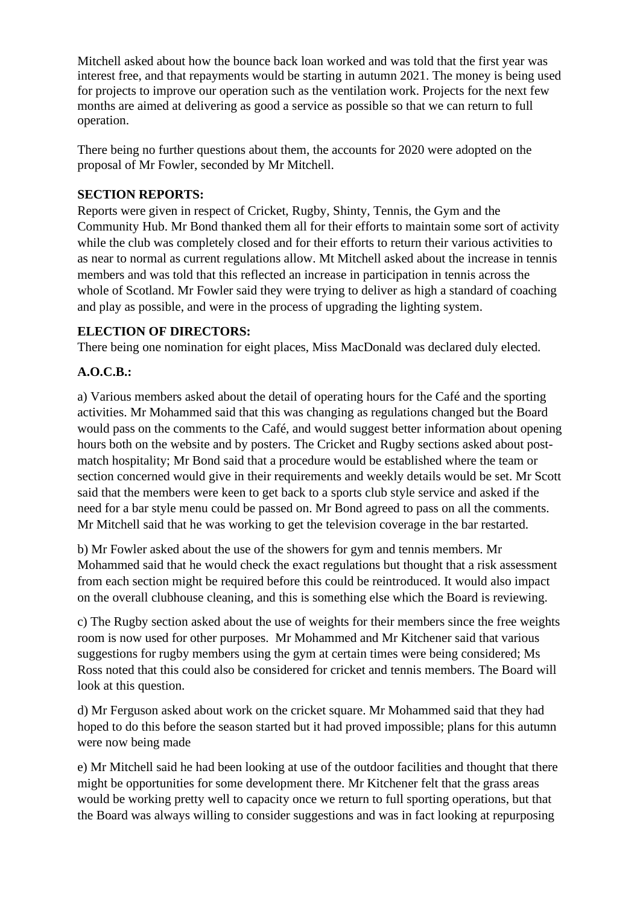Mitchell asked about how the bounce back loan worked and was told that the first year was interest free, and that repayments would be starting in autumn 2021. The money is being used for projects to improve our operation such as the ventilation work. Projects for the next few months are aimed at delivering as good a service as possible so that we can return to full operation.

There being no further questions about them, the accounts for 2020 were adopted on the proposal of Mr Fowler, seconded by Mr Mitchell.

### **SECTION REPORTS:**

Reports were given in respect of Cricket, Rugby, Shinty, Tennis, the Gym and the Community Hub. Mr Bond thanked them all for their efforts to maintain some sort of activity while the club was completely closed and for their efforts to return their various activities to as near to normal as current regulations allow. Mt Mitchell asked about the increase in tennis members and was told that this reflected an increase in participation in tennis across the whole of Scotland. Mr Fowler said they were trying to deliver as high a standard of coaching and play as possible, and were in the process of upgrading the lighting system.

#### **ELECTION OF DIRECTORS:**

There being one nomination for eight places, Miss MacDonald was declared duly elected.

## **A.O.C.B.:**

a) Various members asked about the detail of operating hours for the Café and the sporting activities. Mr Mohammed said that this was changing as regulations changed but the Board would pass on the comments to the Café, and would suggest better information about opening hours both on the website and by posters. The Cricket and Rugby sections asked about postmatch hospitality; Mr Bond said that a procedure would be established where the team or section concerned would give in their requirements and weekly details would be set. Mr Scott said that the members were keen to get back to a sports club style service and asked if the need for a bar style menu could be passed on. Mr Bond agreed to pass on all the comments. Mr Mitchell said that he was working to get the television coverage in the bar restarted.

b) Mr Fowler asked about the use of the showers for gym and tennis members. Mr Mohammed said that he would check the exact regulations but thought that a risk assessment from each section might be required before this could be reintroduced. It would also impact on the overall clubhouse cleaning, and this is something else which the Board is reviewing.

c) The Rugby section asked about the use of weights for their members since the free weights room is now used for other purposes. Mr Mohammed and Mr Kitchener said that various suggestions for rugby members using the gym at certain times were being considered; Ms Ross noted that this could also be considered for cricket and tennis members. The Board will look at this question.

d) Mr Ferguson asked about work on the cricket square. Mr Mohammed said that they had hoped to do this before the season started but it had proved impossible; plans for this autumn were now being made

e) Mr Mitchell said he had been looking at use of the outdoor facilities and thought that there might be opportunities for some development there. Mr Kitchener felt that the grass areas would be working pretty well to capacity once we return to full sporting operations, but that the Board was always willing to consider suggestions and was in fact looking at repurposing